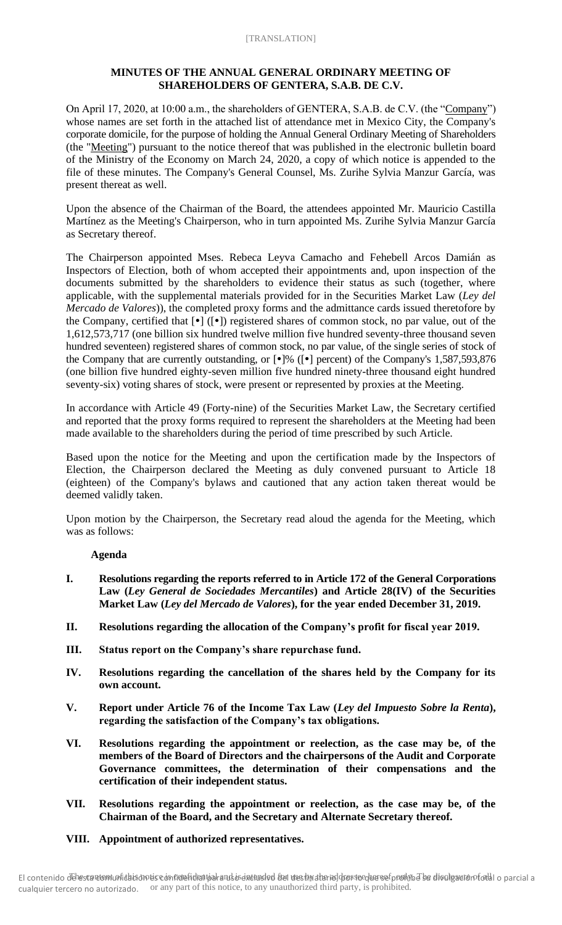# **MINUTES OF THE ANNUAL GENERAL ORDINARY MEETING OF SHAREHOLDERS OF GENTERA, S.A.B. DE C.V.**

On April 17, 2020, at 10:00 a.m., the shareholders of GENTERA, S.A.B. de C.V. (the "Company") whose names are set forth in the attached list of attendance met in Mexico City, the Company's corporate domicile, for the purpose of holding the Annual General Ordinary Meeting of Shareholders (the "Meeting") pursuant to the notice thereof that was published in the electronic bulletin board of the Ministry of the Economy on March 24, 2020, a copy of which notice is appended to the file of these minutes. The Company's General Counsel, Ms. Zurihe Sylvia Manzur García, was present thereat as well.

Upon the absence of the Chairman of the Board, the attendees appointed Mr. Mauricio Castilla Martínez as the Meeting's Chairperson, who in turn appointed Ms. Zurihe Sylvia Manzur García as Secretary thereof.

The Chairperson appointed Mses. Rebeca Leyva Camacho and Fehebell Arcos Damián as Inspectors of Election, both of whom accepted their appointments and, upon inspection of the documents submitted by the shareholders to evidence their status as such (together, where applicable, with the supplemental materials provided for in the Securities Market Law (*Ley del Mercado de Valores*)), the completed proxy forms and the admittance cards issued theretofore by the Company, certified that  $[\bullet]$  ( $[\bullet]$ ) registered shares of common stock, no par value, out of the 1,612,573,717 (one billion six hundred twelve million five hundred seventy-three thousand seven hundred seventeen) registered shares of common stock, no par value, of the single series of stock of the Company that are currently outstanding, or  $[\cdot]$ % ( $[\cdot]$  percent) of the Company's 1,587,593,876 (one billion five hundred eighty-seven million five hundred ninety-three thousand eight hundred seventy-six) voting shares of stock, were present or represented by proxies at the Meeting.

In accordance with Article 49 (Forty-nine) of the Securities Market Law, the Secretary certified and reported that the proxy forms required to represent the shareholders at the Meeting had been made available to the shareholders during the period of time prescribed by such Article.

Based upon the notice for the Meeting and upon the certification made by the Inspectors of Election, the Chairperson declared the Meeting as duly convened pursuant to Article 18 (eighteen) of the Company's bylaws and cautioned that any action taken thereat would be deemed validly taken.

Upon motion by the Chairperson, the Secretary read aloud the agenda for the Meeting, which was as follows:

# **Agenda**

- **I. Resolutions regarding the reports referred to in Article 172 of the General Corporations Law (***Ley General de Sociedades Mercantiles***) and Article 28(IV) of the Securities Market Law (***Ley del Mercado de Valores***), for the year ended December 31, 2019.**
- **II. Resolutions regarding the allocation of the Company's profit for fiscal year 2019.**
- **III. Status report on the Company's share repurchase fund.**
- **IV. Resolutions regarding the cancellation of the shares held by the Company for its own account.**
- **V. Report under Article 76 of the Income Tax Law (***Ley del Impuesto Sobre la Renta***), regarding the satisfaction of the Company's tax obligations.**
- **VI. Resolutions regarding the appointment or reelection, as the case may be, of the members of the Board of Directors and the chairpersons of the Audit and Corporate Governance committees, the determination of their compensations and the certification of their independent status.**
- **VII. Resolutions regarding the appointment or reelection, as the case may be, of the Chairman of the Board, and the Secretary and Alternate Secretary thereof.**
- **VIII. Appointment of authorized representatives.**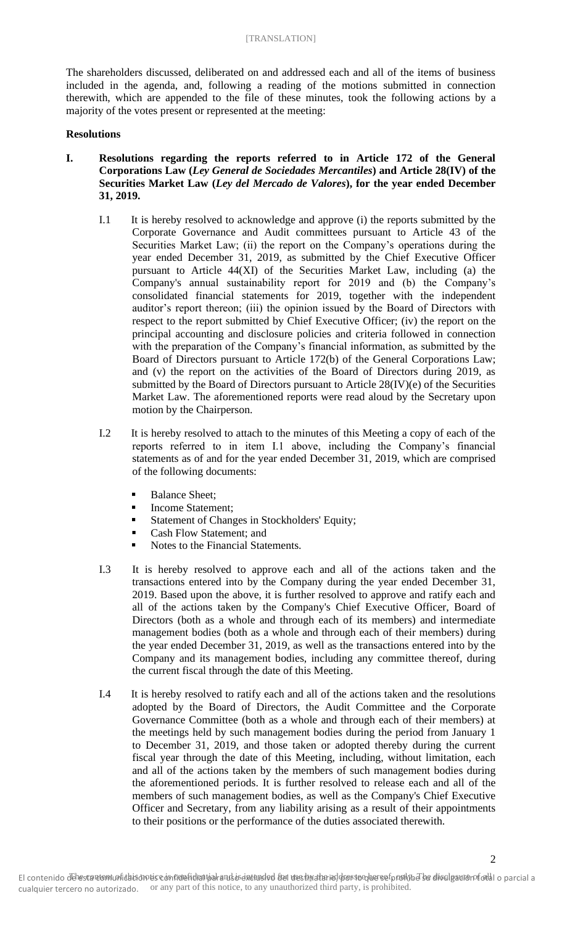The shareholders discussed, deliberated on and addressed each and all of the items of business included in the agenda, and, following a reading of the motions submitted in connection therewith, which are appended to the file of these minutes, took the following actions by a majority of the votes present or represented at the meeting:

#### **Resolutions**

- **I. Resolutions regarding the reports referred to in Article 172 of the General Corporations Law (***Ley General de Sociedades Mercantiles***) and Article 28(IV) of the Securities Market Law (***Ley del Mercado de Valores***), for the year ended December 31, 2019.**
	- I.1 It is hereby resolved to acknowledge and approve (i) the reports submitted by the Corporate Governance and Audit committees pursuant to Article 43 of the Securities Market Law; (ii) the report on the Company's operations during the year ended December 31, 2019, as submitted by the Chief Executive Officer pursuant to Article 44(XI) of the Securities Market Law, including (a) the Company's annual sustainability report for 2019 and (b) the Company's consolidated financial statements for 2019, together with the independent auditor's report thereon; (iii) the opinion issued by the Board of Directors with respect to the report submitted by Chief Executive Officer; (iv) the report on the principal accounting and disclosure policies and criteria followed in connection with the preparation of the Company's financial information, as submitted by the Board of Directors pursuant to Article 172(b) of the General Corporations Law; and (v) the report on the activities of the Board of Directors during 2019, as submitted by the Board of Directors pursuant to Article 28(IV)(e) of the Securities Market Law. The aforementioned reports were read aloud by the Secretary upon motion by the Chairperson.
	- I.2 It is hereby resolved to attach to the minutes of this Meeting a copy of each of the reports referred to in item I.1 above, including the Company's financial statements as of and for the year ended December 31, 2019, which are comprised of the following documents:
		- **Balance Sheet;**
		- Income Statement;
		- Statement of Changes in Stockholders' Equity;
		- Cash Flow Statement: and
		- Notes to the Financial Statements.
	- I.3 It is hereby resolved to approve each and all of the actions taken and the transactions entered into by the Company during the year ended December 31, 2019. Based upon the above, it is further resolved to approve and ratify each and all of the actions taken by the Company's Chief Executive Officer, Board of Directors (both as a whole and through each of its members) and intermediate management bodies (both as a whole and through each of their members) during the year ended December 31, 2019, as well as the transactions entered into by the Company and its management bodies, including any committee thereof, during the current fiscal through the date of this Meeting.
	- I.4 It is hereby resolved to ratify each and all of the actions taken and the resolutions adopted by the Board of Directors, the Audit Committee and the Corporate Governance Committee (both as a whole and through each of their members) at the meetings held by such management bodies during the period from January 1 to December 31, 2019, and those taken or adopted thereby during the current fiscal year through the date of this Meeting, including, without limitation, each and all of the actions taken by the members of such management bodies during the aforementioned periods. It is further resolved to release each and all of the members of such management bodies, as well as the Company's Chief Executive Officer and Secretary, from any liability arising as a result of their appointments to their positions or the performance of the duties associated therewith.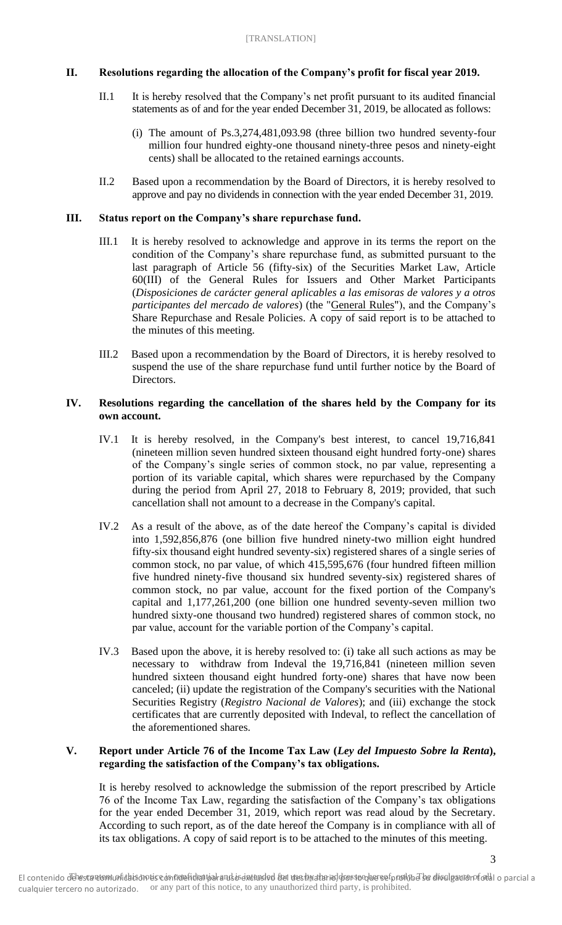### **II. Resolutions regarding the allocation of the Company's profit for fiscal year 2019.**

- II.1 It is hereby resolved that the Company's net profit pursuant to its audited financial statements as of and for the year ended December 31, 2019, be allocated as follows:
	- (i) The amount of Ps.3,274,481,093.98 (three billion two hundred seventy-four million four hundred eighty-one thousand ninety-three pesos and ninety-eight cents) shall be allocated to the retained earnings accounts.
- II.2 Based upon a recommendation by the Board of Directors, it is hereby resolved to approve and pay no dividends in connection with the year ended December 31, 2019.

#### **III. Status report on the Company's share repurchase fund.**

- III.1 It is hereby resolved to acknowledge and approve in its terms the report on the condition of the Company's share repurchase fund, as submitted pursuant to the last paragraph of Article 56 (fifty-six) of the Securities Market Law, Article 60(III) of the General Rules for Issuers and Other Market Participants (*Disposiciones de carácter general aplicables a las emisoras de valores y a otros participantes del mercado de valores*) (the "General Rules"), and the Company's Share Repurchase and Resale Policies. A copy of said report is to be attached to the minutes of this meeting.
- III.2 Based upon a recommendation by the Board of Directors, it is hereby resolved to suspend the use of the share repurchase fund until further notice by the Board of Directors.

#### **IV. Resolutions regarding the cancellation of the shares held by the Company for its own account.**

- IV.1 It is hereby resolved, in the Company's best interest, to cancel 19,716,841 (nineteen million seven hundred sixteen thousand eight hundred forty-one) shares of the Company's single series of common stock, no par value, representing a portion of its variable capital, which shares were repurchased by the Company during the period from April 27, 2018 to February 8, 2019; provided, that such cancellation shall not amount to a decrease in the Company's capital.
- IV.2 As a result of the above, as of the date hereof the Company's capital is divided into 1,592,856,876 (one billion five hundred ninety-two million eight hundred fifty-six thousand eight hundred seventy-six) registered shares of a single series of common stock, no par value, of which 415,595,676 (four hundred fifteen million five hundred ninety-five thousand six hundred seventy-six) registered shares of common stock, no par value, account for the fixed portion of the Company's capital and 1,177,261,200 (one billion one hundred seventy-seven million two hundred sixty-one thousand two hundred) registered shares of common stock, no par value, account for the variable portion of the Company's capital.
- IV.3 Based upon the above, it is hereby resolved to: (i) take all such actions as may be necessary to withdraw from Indeval the 19,716,841 (nineteen million seven hundred sixteen thousand eight hundred forty-one) shares that have now been canceled; (ii) update the registration of the Company's securities with the National Securities Registry (*Registro Nacional de Valores*); and (iii) exchange the stock certificates that are currently deposited with Indeval, to reflect the cancellation of the aforementioned shares.

### **V. Report under Article 76 of the Income Tax Law (***Ley del Impuesto Sobre la Renta***), regarding the satisfaction of the Company's tax obligations.**

It is hereby resolved to acknowledge the submission of the report prescribed by Article 76 of the Income Tax Law, regarding the satisfaction of the Company's tax obligations for the year ended December 31, 2019, which report was read aloud by the Secretary. According to such report, as of the date hereof the Company is in compliance with all of its tax obligations. A copy of said report is to be attached to the minutes of this meeting.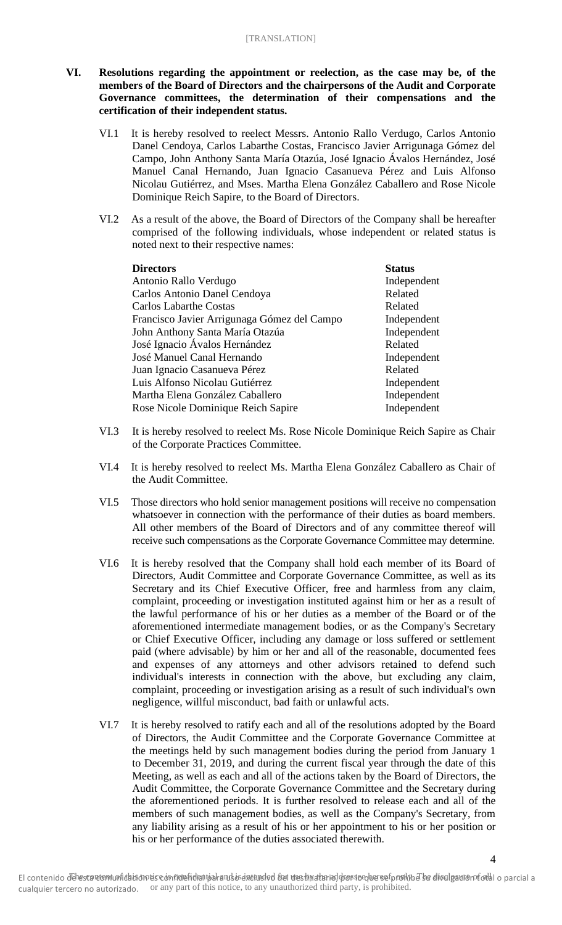# **VI. Resolutions regarding the appointment or reelection, as the case may be, of the members of the Board of Directors and the chairpersons of the Audit and Corporate Governance committees, the determination of their compensations and the certification of their independent status.**

- VI.1 It is hereby resolved to reelect Messrs. Antonio Rallo Verdugo, Carlos Antonio Danel Cendoya, Carlos Labarthe Costas, Francisco Javier Arrigunaga Gómez del Campo, John Anthony Santa María Otazúa, José Ignacio Ávalos Hernández, José Manuel Canal Hernando, Juan Ignacio Casanueva Pérez and Luis Alfonso Nicolau Gutiérrez, and Mses. Martha Elena González Caballero and Rose Nicole Dominique Reich Sapire, to the Board of Directors.
- VI.2 As a result of the above, the Board of Directors of the Company shall be hereafter comprised of the following individuals, whose independent or related status is noted next to their respective names:

| <b>Directors</b>                            | <b>Status</b> |
|---------------------------------------------|---------------|
| Antonio Rallo Verdugo                       | Independent   |
| Carlos Antonio Danel Cendoya                | Related       |
| <b>Carlos Labarthe Costas</b>               | Related       |
| Francisco Javier Arrigunaga Gómez del Campo | Independent   |
| John Anthony Santa María Otazúa             | Independent   |
| José Ignacio Ávalos Hernández               | Related       |
| José Manuel Canal Hernando                  | Independent   |
| Juan Ignacio Casanueva Pérez                | Related       |
| Luis Alfonso Nicolau Gutiérrez              | Independent   |
| Martha Elena González Caballero             | Independent   |
| Rose Nicole Dominique Reich Sapire          | Independent   |

- VI.3 It is hereby resolved to reelect Ms. Rose Nicole Dominique Reich Sapire as Chair of the Corporate Practices Committee.
- VI.4 It is hereby resolved to reelect Ms. Martha Elena González Caballero as Chair of the Audit Committee.
- VI.5 Those directors who hold senior management positions will receive no compensation whatsoever in connection with the performance of their duties as board members. All other members of the Board of Directors and of any committee thereof will receive such compensations as the Corporate Governance Committee may determine.
- VI.6 It is hereby resolved that the Company shall hold each member of its Board of Directors, Audit Committee and Corporate Governance Committee, as well as its Secretary and its Chief Executive Officer, free and harmless from any claim, complaint, proceeding or investigation instituted against him or her as a result of the lawful performance of his or her duties as a member of the Board or of the aforementioned intermediate management bodies, or as the Company's Secretary or Chief Executive Officer, including any damage or loss suffered or settlement paid (where advisable) by him or her and all of the reasonable, documented fees and expenses of any attorneys and other advisors retained to defend such individual's interests in connection with the above, but excluding any claim, complaint, proceeding or investigation arising as a result of such individual's own negligence, willful misconduct, bad faith or unlawful acts.
- VI.7 It is hereby resolved to ratify each and all of the resolutions adopted by the Board of Directors, the Audit Committee and the Corporate Governance Committee at the meetings held by such management bodies during the period from January 1 to December 31, 2019, and during the current fiscal year through the date of this Meeting, as well as each and all of the actions taken by the Board of Directors, the Audit Committee, the Corporate Governance Committee and the Secretary during the aforementioned periods. It is further resolved to release each and all of the members of such management bodies, as well as the Company's Secretary, from any liability arising as a result of his or her appointment to his or her position or his or her performance of the duties associated therewith.